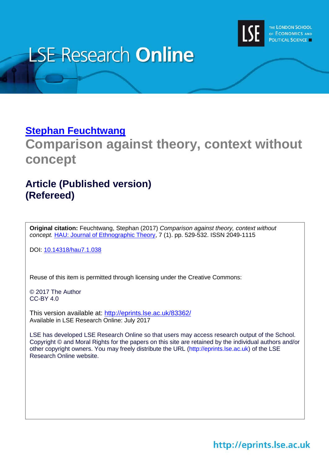

# **LSE Research Online**

## **[Stephan Feuchtwang](http://www.lse.ac.uk/researchAndExpertise/Experts/profile.aspx?KeyValue=s.feuchtwang@lse.ac.uk)**

## **Comparison against theory, context without concept**

### **Article (Published version) (Refereed)**

**Original citation:** Feuchtwang, Stephan (2017) *Comparison against theory, context without concept.* [HAU: Journal of Ethnographic Theory,](https://www.haujournal.org/index.php/hau/index) 7 (1). pp. 529-532. ISSN 2049-1115

DOI: [10.14318/hau7.1.038](http://dx.doi.org/10.14318/hau7.1.038)

Reuse of this item is permitted through licensing under the Creative Commons:

© 2017 The Author CC-BY 4.0

This version available at: <http://eprints.lse.ac.uk/83362/> Available in LSE Research Online: July 2017

LSE has developed LSE Research Online so that users may access research output of the School. Copyright © and Moral Rights for the papers on this site are retained by the individual authors and/or other copyright owners. You may freely distribute the URL (http://eprints.lse.ac.uk) of the LSE Research Online website.

### http://eprints.lse.ac.uk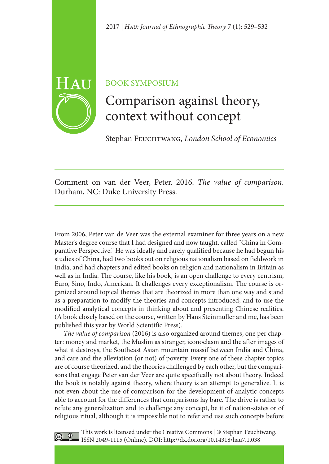

#### Book SYMPOSIUM

## Comparison against theory, context without concept

Stephan FEUCHTWANG, London School of Economics

Comment on van der Veer, Peter. 2016. *The value of comparison*. Durham, NC: Duke University Press.

From 2006, Peter van de Veer was the external examiner for three years on a new Master's degree course that I had designed and now taught, called "China in Comparative Perspective." He was ideally and rarely qualified because he had begun his studies of China, had two books out on religious nationalism based on fieldwork in India, and had chapters and edited books on religion and nationalism in Britain as well as in India. The course, like his book, is an open challenge to every centrism, Euro, Sino, Indo, American. It challenges every exceptionalism. The course is organized around topical themes that are theorized in more than one way and stand as a preparation to modify the theories and concepts introduced, and to use the modified analytical concepts in thinking about and presenting Chinese realities. (A book closely based on the course, written by Hans Steinmuller and me, has been published this year by World Scientific Press).

*The value of comparison* (2016) is also organized around themes, one per chapter: money and market, the Muslim as stranger, iconoclasm and the after images of what it destroys, the Southeast Asian mountain massif between India and China, and care and the alleviation (or not) of poverty. Every one of these chapter topics are of course theorized, and the theories challenged by each other, but the comparisons that engage Peter van der Veer are quite specifically not about theory. Indeed the book is notably against theory, where theory is an attempt to generalize. It is not even about the use of comparison for the development of analytic concepts able to account for the differences that comparisons lay bare. The drive is rather to refute any generalization and to challenge any concept, be it of nation-states or of religious ritual, although it is impossible not to refer and use such concepts before



This work is licensed under the Creative Commons | © Stephan Feuchtwang. ISSN 2049-1115 (Online). DOI: [http://dx.doi.org/1](http://dx.doi.org/10.14318/hau7.1.038)0.14318/hau7.1.038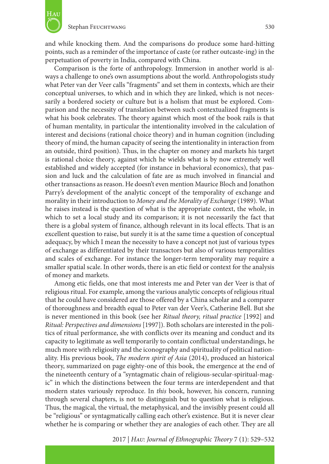

#### Stephan Feuchtwang 530

and while knocking them. And the comparisons do produce some hard-hitting points, such as a reminder of the importance of caste (or rather outcaste-ing) in the perpetuation of poverty in India, compared with China.

Comparison is the forte of anthropology. Immersion in another world is always a challenge to one's own assumptions about the world. Anthropologists study what Peter van der Veer calls "fragments" and set them in contexts, which are their conceptual universes, to which and in which they are linked, which is not necessarily a bordered society or culture but is a holism that must be explored. Comparison and the necessity of translation between such contextualized fragments is what his book celebrates. The theory against which most of the book rails is that of human mentality, in particular the intentionality involved in the calculation of interest and decisions (rational choice theory) and in human cognition (including theory of mind, the human capacity of seeing the intentionality in interaction from an outside, third position). Thus, in the chapter on money and markets his target is rational choice theory, against which he wields what is by now extremely well established and widely accepted (for instance in behavioral economics), that passion and luck and the calculation of fate are as much involved in financial and other transactions as reason. He doesn't even mention Maurice Bloch and Jonathon Parry's development of the analytic concept of the temporality of exchange and morality in their introduction to *Money and the Morality of Exchange* (1989). What he raises instead is the question of what is the appropriate context, the whole, in which to set a local study and its comparison; it is not necessarily the fact that there is a global system of finance, although relevant in its local effects. That is an excellent question to raise, but surely it is at the same time a question of conceptual adequacy, by which I mean the necessity to have a concept not just of various types of exchange as differentiated by their transactors but also of various temporalities and scales of exchange. For instance the longer-term temporality may require a smaller spatial scale. In other words, there is an etic field or context for the analysis of money and markets.

Among etic fields, one that most interests me and Peter van der Veer is that of religious ritual. For example, among the various analytic concepts of religious ritual that he could have considered are those offered by a China scholar and a comparer of thoroughness and breadth equal to Peter van der Veer's, Catherine Bell. But she is never mentioned in this book (see her *Ritual theory, ritual practice* [1992] and *Ritual: Perspectives and dimensions* [1997]). Both scholars are interested in the politics of ritual performance, she with conflicts over its meaning and conduct and its capacity to legitimate as well temporarily to contain conflictual understandings, he much more with religiosity and the iconography and spirituality of political nationality. His previous book, *The modern spirit of Asia* (2014), produced an historical theory, summarized on page eighty-one of this book, the emergence at the end of the nineteenth century of a "syntagmatic chain of religious-secular-spiritual-magic" in which the distinctions between the four terms are interdependent and that modern states variously reproduce. In *this* book, however, his concern, running through several chapters, is not to distinguish but to question what is religious. Thus, the magical, the virtual, the metaphysical, and the invisibly present could all be "religious" or syntagmatically calling each other's existence. But it is never clear whether he is comparing or whether they are analogies of each other. They are all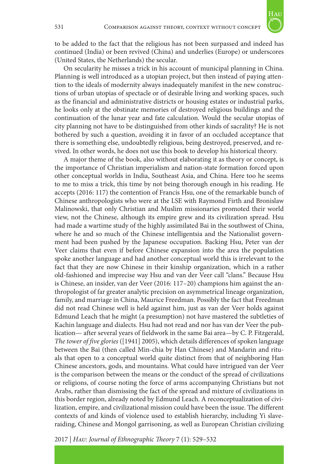to be added to the fact that the religious has not been surpassed and indeed has continued (India) or been revived (China) and underlies (Europe) or underscores (United States, the Netherlands) the secular.

On secularity he misses a trick in his account of municipal planning in China. Planning is well introduced as a utopian project, but then instead of paying attention to the ideals of modernity always inadequately manifest in the new constructions of urban utopias of spectacle or of desirable living and working spaces, such as the financial and administrative districts or housing estates or industrial parks, he looks only at the obstinate memories of destroyed religious buildings and the continuation of the lunar year and fate calculation. Would the secular utopias of city planning not have to be distinguished from other kinds of sacrality? He is not bothered by such a question, avoiding it in favor of an occluded acceptance that there is something else, undoubtedly religious, being destroyed, preserved, and revived. In other words, he does not use this book to develop his historical theory.

A major theme of the book, also without elaborating it as theory or concept, is the importance of Christian imperialism and nation-state formation forced upon other conceptual worlds in India, Southeast Asia, and China. Here too he seems to me to miss a trick, this time by not being thorough enough in his reading. He accepts (2016: 117) the contention of Francis Hsu, one of the remarkable bunch of Chinese anthropologists who were at the LSE with Raymond Firth and Bronislaw Malinowski, that only Christian and Muslim missionaries promoted their world view, not the Chinese, although its empire grew and its civilization spread. Hsu had made a wartime study of the highly assimilated Bai in the southwest of China, where he and so much of the Chinese intelligentsia and the Nationalist government had been pushed by the Japanese occupation. Backing Hsu, Peter van der Veer claims that even if before Chinese expansion into the area the population spoke another language and had another conceptual world this is irrelevant to the fact that they are now Chinese in their kinship organization, which in a rather old-fashioned and imprecise way Hsu and van der Veer call "clans." Because Hsu is Chinese, an insider, van der Veer (2016: 117–20) champions him against the anthropologist of far greater analytic precision on asymmetrical lineage organization, family, and marriage in China, Maurice Freedman. Possibly the fact that Freedman did not read Chinese well is held against him, just as van der Veer holds against Edmund Leach that he might (a presumption) not have mastered the subtleties of Kachin language and dialects. Hsu had not read and nor has van der Veer the publication— after several years of fieldwork in the same Bai area—by C. P. Fitzgerald, *The tower of five glories* ([1941] 2005), which details differences of spoken language between the Bai (then called Min-chia by Han Chinese) and Mandarin and rituals that open to a conceptual world quite distinct from that of neighboring Han Chinese ancestors, gods, and mountains. What could have intrigued van der Veer is the comparison between the means or the conduct of the spread of civilizations or religions, of course noting the force of arms accompanying Christians but not Arabs, rather than dismissing the fact of the spread and mixture of civilizations in this border region, already noted by Edmund Leach. A reconceptualization of civilization, empire, and civilizational mission could have been the issue. The different contexts of and kinds of violence used to establish hierarchy, including Yi slaveraiding, Chinese and Mongol garrisoning, as well as European Christian civilizing

2017 | *Hau: Journal of Ethnographic Theory* 7 (1): 529–532